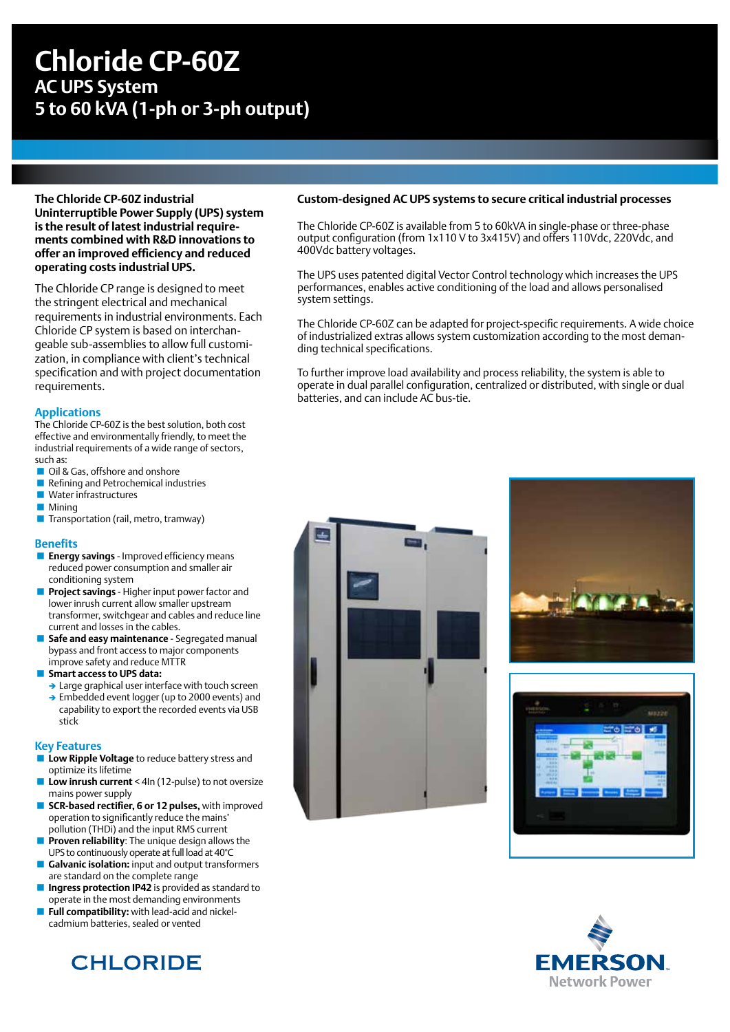## **Chloride CP-60Z AC UPS System 5 to 60 kVA (1-ph or 3-ph output)**

**The Chloride CP-60Z industrial Uninterruptible Power Supply (UPS) system is the result of latest industrial requirements combined with R&D innovations to offer an improved efficiency and reduced operating costs industrial UPS.**

The Chloride CP range is designed to meet the stringent electrical and mechanical requirements in industrial environments. Each Chloride CP system is based on interchangeable sub-assemblies to allow full customization, in compliance with client's technical specification and with project documentation requirements.

### **Applications**

The Chloride CP-60Z is the best solution, both cost effective and environmentally friendly, to meet the industrial requirements of a wide range of sectors, such as:

- Oil & Gas, offshore and onshore
- Refining and Petrochemical industries
- **Water infrastructures**
- **Mining**
- **Transportation (rail, metro, tramway)**

### **Benefits**

- **Energy savings** Improved efficiency means reduced power consumption and smaller air conditioning system
- **Project savings**  Higher input power factor and lower inrush current allow smaller upstream transformer, switchgear and cables and reduce line current and losses in the cables.
- **Safe and easy maintenance** Segregated manual bypass and front access to major components improve safety and reduce MTTR
- **Smart access to UPS data:** 
	- $\rightarrow$  Large graphical user interface with touch screen
	- $\rightarrow$  Embedded event logger (up to 2000 events) and capability to export the recorded events via USB stick

### **Key Features**

- **Low Ripple Voltage** to reduce battery stress and optimize its lifetime
- **Low inrush current** < 4In (12-pulse) to not oversize mains power supply
- **SCR-based rectifier, 6 or 12 pulses, with improved** operation to significantly reduce the mains' pollution (THDi) and the input RMS current
- **Proven reliability**: The unique design allows the UPS to continuously operate at full load at 40°C
- **Galvanic isolation:** input and output transformers are standard on the complete range
- **Ingress protection IP42** is provided as standard to operate in the most demanding environments
- **Full compatibility:** with lead-acid and nickelcadmium batteries, sealed or vented

# **CHLORIDE**

### **Custom-designed AC UPS systems to secure critical industrial processes**

The Chloride CP-60Z is available from 5 to 60kVA in single-phase or three-phase output configuration (from 1x110 V to 3x415V) and offers 110Vdc, 220Vdc, and 400Vdc battery voltages.

The UPS uses patented digital Vector Control technology which increases the UPS performances, enables active conditioning of the load and allows personalised system settings.

The Chloride CP-60Z can be adapted for project-specific requirements. A wide choice of industrialized extras allows system customization according to the most demanding technical specifications.

To further improve load availability and process reliability, the system is able to operate in dual parallel configuration, centralized or distributed, with single or dual batteries, and can include AC bus-tie.